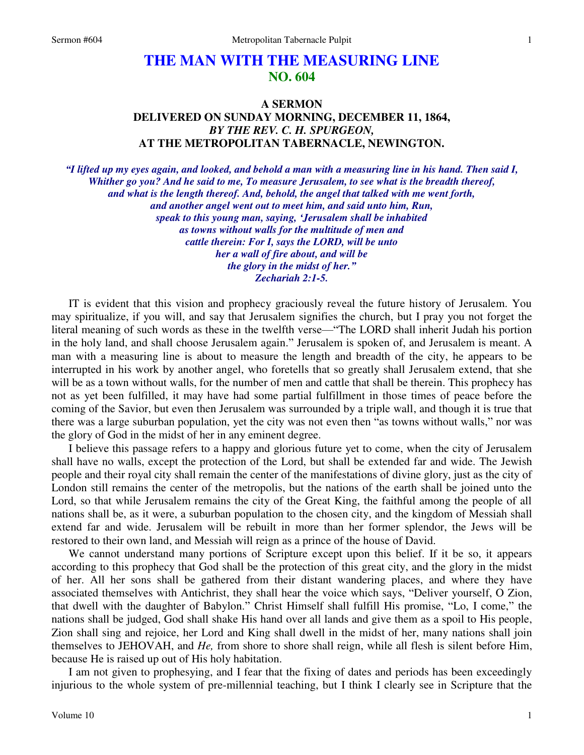# **THE MAN WITH THE MEASURING LINE NO. 604**

## **A SERMON DELIVERED ON SUNDAY MORNING, DECEMBER 11, 1864,**  *BY THE REV. C. H. SPURGEON,*  **AT THE METROPOLITAN TABERNACLE, NEWINGTON.**

*"I lifted up my eyes again, and looked, and behold a man with a measuring line in his hand. Then said I, Whither go you? And he said to me, To measure Jerusalem, to see what is the breadth thereof, and what is the length thereof. And, behold, the angel that talked with me went forth, and another angel went out to meet him, and said unto him, Run, speak to this young man, saying, 'Jerusalem shall be inhabited as towns without walls for the multitude of men and cattle therein: For I, says the LORD, will be unto her a wall of fire about, and will be the glory in the midst of her." Zechariah 2:1-5.* 

IT is evident that this vision and prophecy graciously reveal the future history of Jerusalem. You may spiritualize, if you will, and say that Jerusalem signifies the church, but I pray you not forget the literal meaning of such words as these in the twelfth verse—"The LORD shall inherit Judah his portion in the holy land, and shall choose Jerusalem again." Jerusalem is spoken of, and Jerusalem is meant. A man with a measuring line is about to measure the length and breadth of the city, he appears to be interrupted in his work by another angel, who foretells that so greatly shall Jerusalem extend, that she will be as a town without walls, for the number of men and cattle that shall be therein. This prophecy has not as yet been fulfilled, it may have had some partial fulfillment in those times of peace before the coming of the Savior, but even then Jerusalem was surrounded by a triple wall, and though it is true that there was a large suburban population, yet the city was not even then "as towns without walls," nor was the glory of God in the midst of her in any eminent degree.

I believe this passage refers to a happy and glorious future yet to come, when the city of Jerusalem shall have no walls, except the protection of the Lord, but shall be extended far and wide. The Jewish people and their royal city shall remain the center of the manifestations of divine glory, just as the city of London still remains the center of the metropolis, but the nations of the earth shall be joined unto the Lord, so that while Jerusalem remains the city of the Great King, the faithful among the people of all nations shall be, as it were, a suburban population to the chosen city, and the kingdom of Messiah shall extend far and wide. Jerusalem will be rebuilt in more than her former splendor, the Jews will be restored to their own land, and Messiah will reign as a prince of the house of David.

We cannot understand many portions of Scripture except upon this belief. If it be so, it appears according to this prophecy that God shall be the protection of this great city, and the glory in the midst of her. All her sons shall be gathered from their distant wandering places, and where they have associated themselves with Antichrist, they shall hear the voice which says, "Deliver yourself, O Zion, that dwell with the daughter of Babylon." Christ Himself shall fulfill His promise, "Lo, I come," the nations shall be judged, God shall shake His hand over all lands and give them as a spoil to His people, Zion shall sing and rejoice, her Lord and King shall dwell in the midst of her, many nations shall join themselves to JEHOVAH, and *He,* from shore to shore shall reign, while all flesh is silent before Him, because He is raised up out of His holy habitation.

I am not given to prophesying, and I fear that the fixing of dates and periods has been exceedingly injurious to the whole system of pre-millennial teaching, but I think I clearly see in Scripture that the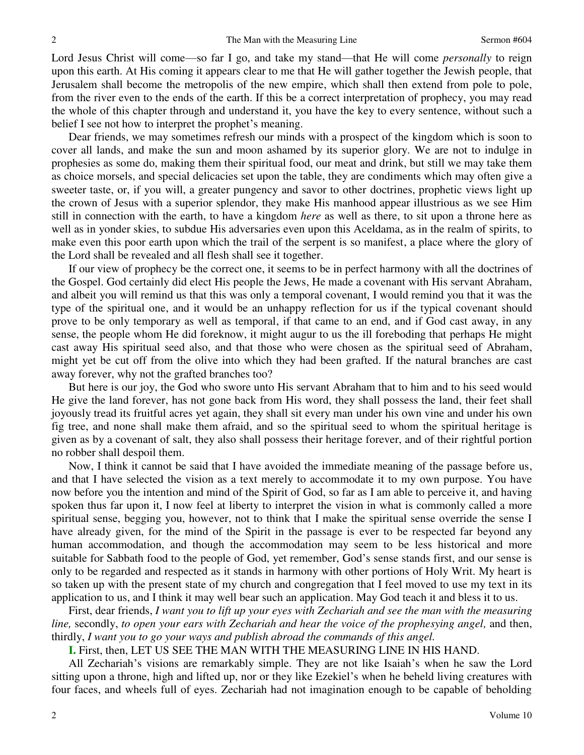Lord Jesus Christ will come—so far I go, and take my stand—that He will come *personally* to reign upon this earth. At His coming it appears clear to me that He will gather together the Jewish people, that Jerusalem shall become the metropolis of the new empire, which shall then extend from pole to pole, from the river even to the ends of the earth. If this be a correct interpretation of prophecy, you may read the whole of this chapter through and understand it, you have the key to every sentence, without such a belief I see not how to interpret the prophet's meaning.

Dear friends, we may sometimes refresh our minds with a prospect of the kingdom which is soon to cover all lands, and make the sun and moon ashamed by its superior glory. We are not to indulge in prophesies as some do, making them their spiritual food, our meat and drink, but still we may take them as choice morsels, and special delicacies set upon the table, they are condiments which may often give a sweeter taste, or, if you will, a greater pungency and savor to other doctrines, prophetic views light up the crown of Jesus with a superior splendor, they make His manhood appear illustrious as we see Him still in connection with the earth, to have a kingdom *here* as well as there, to sit upon a throne here as well as in yonder skies, to subdue His adversaries even upon this Aceldama, as in the realm of spirits, to make even this poor earth upon which the trail of the serpent is so manifest, a place where the glory of the Lord shall be revealed and all flesh shall see it together.

If our view of prophecy be the correct one, it seems to be in perfect harmony with all the doctrines of the Gospel. God certainly did elect His people the Jews, He made a covenant with His servant Abraham, and albeit you will remind us that this was only a temporal covenant, I would remind you that it was the type of the spiritual one, and it would be an unhappy reflection for us if the typical covenant should prove to be only temporary as well as temporal, if that came to an end, and if God cast away, in any sense, the people whom He did foreknow, it might augur to us the ill foreboding that perhaps He might cast away His spiritual seed also, and that those who were chosen as the spiritual seed of Abraham, might yet be cut off from the olive into which they had been grafted. If the natural branches are cast away forever, why not the grafted branches too?

But here is our joy, the God who swore unto His servant Abraham that to him and to his seed would He give the land forever, has not gone back from His word, they shall possess the land, their feet shall joyously tread its fruitful acres yet again, they shall sit every man under his own vine and under his own fig tree, and none shall make them afraid, and so the spiritual seed to whom the spiritual heritage is given as by a covenant of salt, they also shall possess their heritage forever, and of their rightful portion no robber shall despoil them.

Now, I think it cannot be said that I have avoided the immediate meaning of the passage before us, and that I have selected the vision as a text merely to accommodate it to my own purpose. You have now before you the intention and mind of the Spirit of God, so far as I am able to perceive it, and having spoken thus far upon it, I now feel at liberty to interpret the vision in what is commonly called a more spiritual sense, begging you, however, not to think that I make the spiritual sense override the sense I have already given, for the mind of the Spirit in the passage is ever to be respected far beyond any human accommodation, and though the accommodation may seem to be less historical and more suitable for Sabbath food to the people of God, yet remember, God's sense stands first, and our sense is only to be regarded and respected as it stands in harmony with other portions of Holy Writ. My heart is so taken up with the present state of my church and congregation that I feel moved to use my text in its application to us, and I think it may well bear such an application. May God teach it and bless it to us.

First, dear friends, *I want you to lift up your eyes with Zechariah and see the man with the measuring line,* secondly, *to open your ears with Zechariah and hear the voice of the prophesying angel,* and then, thirdly, *I want you to go your ways and publish abroad the commands of this angel.*

**I.** First, then, LET US SEE THE MAN WITH THE MEASURING LINE IN HIS HAND.

All Zechariah's visions are remarkably simple. They are not like Isaiah's when he saw the Lord sitting upon a throne, high and lifted up, nor or they like Ezekiel's when he beheld living creatures with four faces, and wheels full of eyes. Zechariah had not imagination enough to be capable of beholding

2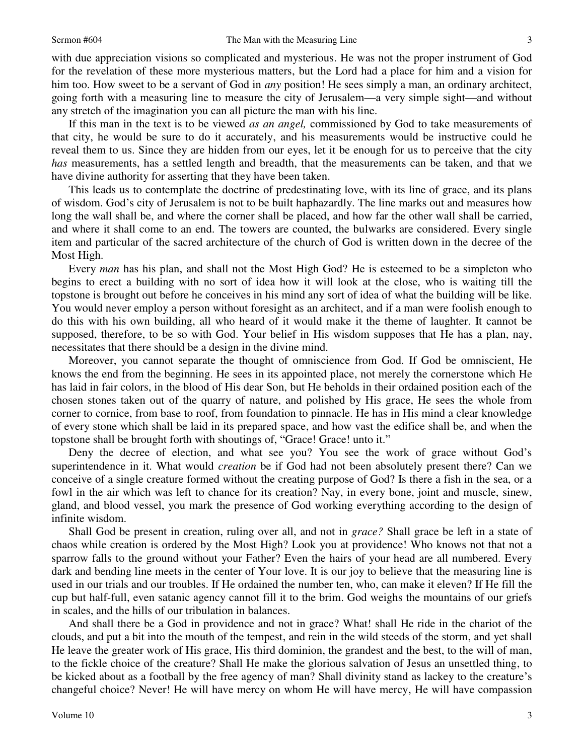with due appreciation visions so complicated and mysterious. He was not the proper instrument of God for the revelation of these more mysterious matters, but the Lord had a place for him and a vision for him too. How sweet to be a servant of God in *any* position! He sees simply a man, an ordinary architect, going forth with a measuring line to measure the city of Jerusalem—a very simple sight—and without any stretch of the imagination you can all picture the man with his line.

If this man in the text is to be viewed *as an angel,* commissioned by God to take measurements of that city, he would be sure to do it accurately, and his measurements would be instructive could he reveal them to us. Since they are hidden from our eyes, let it be enough for us to perceive that the city *has* measurements, has a settled length and breadth, that the measurements can be taken, and that we have divine authority for asserting that they have been taken.

This leads us to contemplate the doctrine of predestinating love, with its line of grace, and its plans of wisdom. God's city of Jerusalem is not to be built haphazardly. The line marks out and measures how long the wall shall be, and where the corner shall be placed, and how far the other wall shall be carried, and where it shall come to an end. The towers are counted, the bulwarks are considered. Every single item and particular of the sacred architecture of the church of God is written down in the decree of the Most High.

Every *man* has his plan, and shall not the Most High God? He is esteemed to be a simpleton who begins to erect a building with no sort of idea how it will look at the close, who is waiting till the topstone is brought out before he conceives in his mind any sort of idea of what the building will be like. You would never employ a person without foresight as an architect, and if a man were foolish enough to do this with his own building, all who heard of it would make it the theme of laughter. It cannot be supposed, therefore, to be so with God. Your belief in His wisdom supposes that He has a plan, nay, necessitates that there should be a design in the divine mind.

Moreover, you cannot separate the thought of omniscience from God. If God be omniscient, He knows the end from the beginning. He sees in its appointed place, not merely the cornerstone which He has laid in fair colors, in the blood of His dear Son, but He beholds in their ordained position each of the chosen stones taken out of the quarry of nature, and polished by His grace, He sees the whole from corner to cornice, from base to roof, from foundation to pinnacle. He has in His mind a clear knowledge of every stone which shall be laid in its prepared space, and how vast the edifice shall be, and when the topstone shall be brought forth with shoutings of, "Grace! Grace! unto it."

Deny the decree of election, and what see you? You see the work of grace without God's superintendence in it. What would *creation* be if God had not been absolutely present there? Can we conceive of a single creature formed without the creating purpose of God? Is there a fish in the sea, or a fowl in the air which was left to chance for its creation? Nay, in every bone, joint and muscle, sinew, gland, and blood vessel, you mark the presence of God working everything according to the design of infinite wisdom.

Shall God be present in creation, ruling over all, and not in *grace?* Shall grace be left in a state of chaos while creation is ordered by the Most High? Look you at providence! Who knows not that not a sparrow falls to the ground without your Father? Even the hairs of your head are all numbered. Every dark and bending line meets in the center of Your love. It is our joy to believe that the measuring line is used in our trials and our troubles. If He ordained the number ten, who, can make it eleven? If He fill the cup but half-full, even satanic agency cannot fill it to the brim. God weighs the mountains of our griefs in scales, and the hills of our tribulation in balances.

And shall there be a God in providence and not in grace? What! shall He ride in the chariot of the clouds, and put a bit into the mouth of the tempest, and rein in the wild steeds of the storm, and yet shall He leave the greater work of His grace, His third dominion, the grandest and the best, to the will of man, to the fickle choice of the creature? Shall He make the glorious salvation of Jesus an unsettled thing, to be kicked about as a football by the free agency of man? Shall divinity stand as lackey to the creature's changeful choice? Never! He will have mercy on whom He will have mercy, He will have compassion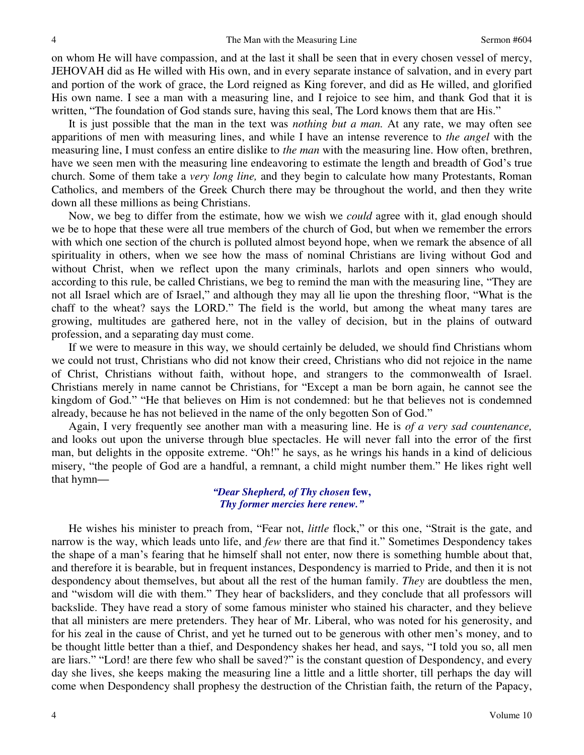on whom He will have compassion, and at the last it shall be seen that in every chosen vessel of mercy, JEHOVAH did as He willed with His own, and in every separate instance of salvation, and in every part and portion of the work of grace, the Lord reigned as King forever, and did as He willed, and glorified His own name. I see a man with a measuring line, and I rejoice to see him, and thank God that it is written, "The foundation of God stands sure, having this seal, The Lord knows them that are His."

It is just possible that the man in the text was *nothing but a man.* At any rate, we may often see apparitions of men with measuring lines, and while I have an intense reverence to *the angel* with the measuring line, I must confess an entire dislike to *the man* with the measuring line. How often, brethren, have we seen men with the measuring line endeavoring to estimate the length and breadth of God's true church. Some of them take a *very long line,* and they begin to calculate how many Protestants, Roman Catholics, and members of the Greek Church there may be throughout the world, and then they write down all these millions as being Christians.

Now, we beg to differ from the estimate, how we wish we *could* agree with it, glad enough should we be to hope that these were all true members of the church of God, but when we remember the errors with which one section of the church is polluted almost beyond hope, when we remark the absence of all spirituality in others, when we see how the mass of nominal Christians are living without God and without Christ, when we reflect upon the many criminals, harlots and open sinners who would, according to this rule, be called Christians, we beg to remind the man with the measuring line, "They are not all Israel which are of Israel," and although they may all lie upon the threshing floor, "What is the chaff to the wheat? says the LORD." The field is the world, but among the wheat many tares are growing, multitudes are gathered here, not in the valley of decision, but in the plains of outward profession, and a separating day must come.

If we were to measure in this way, we should certainly be deluded, we should find Christians whom we could not trust, Christians who did not know their creed, Christians who did not rejoice in the name of Christ, Christians without faith, without hope, and strangers to the commonwealth of Israel. Christians merely in name cannot be Christians, for "Except a man be born again, he cannot see the kingdom of God." "He that believes on Him is not condemned: but he that believes not is condemned already, because he has not believed in the name of the only begotten Son of God."

Again, I very frequently see another man with a measuring line. He is *of a very sad countenance,* and looks out upon the universe through blue spectacles. He will never fall into the error of the first man, but delights in the opposite extreme. "Oh!" he says, as he wrings his hands in a kind of delicious misery, "the people of God are a handful, a remnant, a child might number them." He likes right well that hymn*—*

### *"Dear Shepherd, of Thy chosen* **few,** *Thy former mercies here renew."*

He wishes his minister to preach from, "Fear not, *little* flock," or this one, "Strait is the gate, and narrow is the way, which leads unto life, and *few* there are that find it." Sometimes Despondency takes the shape of a man's fearing that he himself shall not enter, now there is something humble about that, and therefore it is bearable, but in frequent instances, Despondency is married to Pride, and then it is not despondency about themselves, but about all the rest of the human family. *They* are doubtless the men, and "wisdom will die with them." They hear of backsliders, and they conclude that all professors will backslide. They have read a story of some famous minister who stained his character, and they believe that all ministers are mere pretenders. They hear of Mr. Liberal, who was noted for his generosity, and for his zeal in the cause of Christ, and yet he turned out to be generous with other men's money, and to be thought little better than a thief, and Despondency shakes her head, and says, "I told you so, all men are liars." "Lord! are there few who shall be saved?" is the constant question of Despondency, and every day she lives, she keeps making the measuring line a little and a little shorter, till perhaps the day will come when Despondency shall prophesy the destruction of the Christian faith, the return of the Papacy,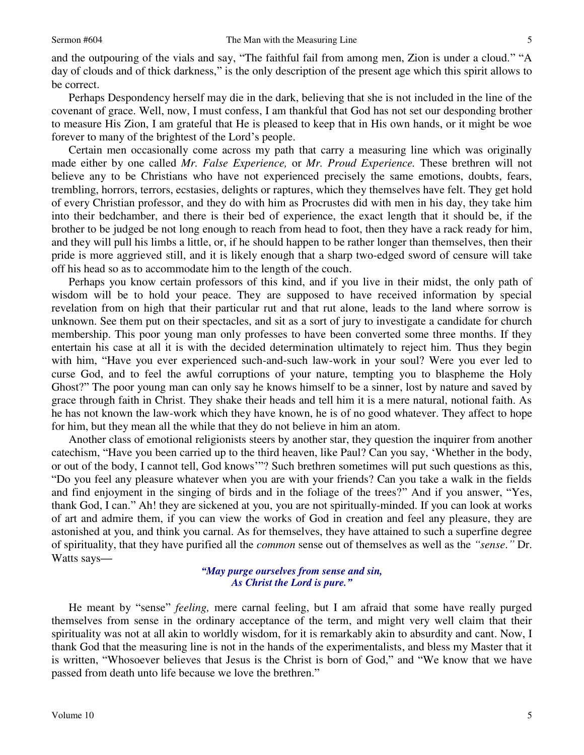and the outpouring of the vials and say, "The faithful fail from among men, Zion is under a cloud." "A day of clouds and of thick darkness," is the only description of the present age which this spirit allows to be correct.

Perhaps Despondency herself may die in the dark, believing that she is not included in the line of the covenant of grace. Well, now, I must confess, I am thankful that God has not set our desponding brother to measure His Zion, I am grateful that He is pleased to keep that in His own hands, or it might be woe forever to many of the brightest of the Lord's people.

Certain men occasionally come across my path that carry a measuring line which was originally made either by one called *Mr. False Experience,* or *Mr. Proud Experience.* These brethren will not believe any to be Christians who have not experienced precisely the same emotions, doubts, fears, trembling, horrors, terrors, ecstasies, delights or raptures, which they themselves have felt. They get hold of every Christian professor, and they do with him as Procrustes did with men in his day, they take him into their bedchamber, and there is their bed of experience, the exact length that it should be, if the brother to be judged be not long enough to reach from head to foot, then they have a rack ready for him, and they will pull his limbs a little, or, if he should happen to be rather longer than themselves, then their pride is more aggrieved still, and it is likely enough that a sharp two-edged sword of censure will take off his head so as to accommodate him to the length of the couch.

Perhaps you know certain professors of this kind, and if you live in their midst, the only path of wisdom will be to hold your peace. They are supposed to have received information by special revelation from on high that their particular rut and that rut alone, leads to the land where sorrow is unknown. See them put on their spectacles, and sit as a sort of jury to investigate a candidate for church membership. This poor young man only professes to have been converted some three months. If they entertain his case at all it is with the decided determination ultimately to reject him. Thus they begin with him, "Have you ever experienced such-and-such law-work in your soul? Were you ever led to curse God, and to feel the awful corruptions of your nature, tempting you to blaspheme the Holy Ghost?" The poor young man can only say he knows himself to be a sinner, lost by nature and saved by grace through faith in Christ. They shake their heads and tell him it is a mere natural, notional faith. As he has not known the law-work which they have known, he is of no good whatever. They affect to hope for him, but they mean all the while that they do not believe in him an atom.

Another class of emotional religionists steers by another star, they question the inquirer from another catechism, "Have you been carried up to the third heaven, like Paul? Can you say, 'Whether in the body, or out of the body, I cannot tell, God knows'"? Such brethren sometimes will put such questions as this, "Do you feel any pleasure whatever when you are with your friends? Can you take a walk in the fields and find enjoyment in the singing of birds and in the foliage of the trees?" And if you answer, "Yes, thank God, I can." Ah! they are sickened at you, you are not spiritually-minded. If you can look at works of art and admire them, if you can view the works of God in creation and feel any pleasure, they are astonished at you, and think you carnal. As for themselves, they have attained to such a superfine degree of spirituality, that they have purified all the *common* sense out of themselves as well as the *"sense*.*"* Dr. Watts says*—*

### *"May purge ourselves from sense and sin, As Christ the Lord is pure."*

He meant by "sense" *feeling,* mere carnal feeling, but I am afraid that some have really purged themselves from sense in the ordinary acceptance of the term, and might very well claim that their spirituality was not at all akin to worldly wisdom, for it is remarkably akin to absurdity and cant. Now, I thank God that the measuring line is not in the hands of the experimentalists, and bless my Master that it is written, "Whosoever believes that Jesus is the Christ is born of God," and "We know that we have passed from death unto life because we love the brethren."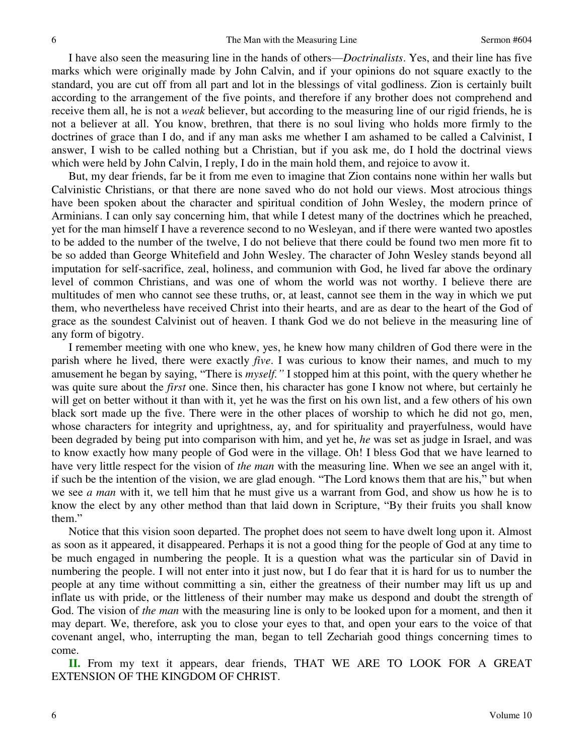I have also seen the measuring line in the hands of others—*Doctrinalists*. Yes, and their line has five marks which were originally made by John Calvin, and if your opinions do not square exactly to the standard, you are cut off from all part and lot in the blessings of vital godliness. Zion is certainly built according to the arrangement of the five points, and therefore if any brother does not comprehend and receive them all, he is not a *weak* believer, but according to the measuring line of our rigid friends, he is not a believer at all. You know, brethren, that there is no soul living who holds more firmly to the doctrines of grace than I do, and if any man asks me whether I am ashamed to be called a Calvinist, I answer, I wish to be called nothing but a Christian, but if you ask me, do I hold the doctrinal views which were held by John Calvin, I reply, I do in the main hold them, and rejoice to avow it.

But, my dear friends, far be it from me even to imagine that Zion contains none within her walls but Calvinistic Christians, or that there are none saved who do not hold our views. Most atrocious things have been spoken about the character and spiritual condition of John Wesley, the modern prince of Arminians. I can only say concerning him, that while I detest many of the doctrines which he preached, yet for the man himself I have a reverence second to no Wesleyan, and if there were wanted two apostles to be added to the number of the twelve, I do not believe that there could be found two men more fit to be so added than George Whitefield and John Wesley. The character of John Wesley stands beyond all imputation for self-sacrifice, zeal, holiness, and communion with God, he lived far above the ordinary level of common Christians, and was one of whom the world was not worthy. I believe there are multitudes of men who cannot see these truths, or, at least, cannot see them in the way in which we put them, who nevertheless have received Christ into their hearts, and are as dear to the heart of the God of grace as the soundest Calvinist out of heaven. I thank God we do not believe in the measuring line of any form of bigotry.

I remember meeting with one who knew, yes, he knew how many children of God there were in the parish where he lived, there were exactly *five*. I was curious to know their names, and much to my amusement he began by saying, "There is *myself."* I stopped him at this point, with the query whether he was quite sure about the *first* one. Since then, his character has gone I know not where, but certainly he will get on better without it than with it, yet he was the first on his own list, and a few others of his own black sort made up the five. There were in the other places of worship to which he did not go, men, whose characters for integrity and uprightness, ay, and for spirituality and prayerfulness, would have been degraded by being put into comparison with him, and yet he, *he* was set as judge in Israel, and was to know exactly how many people of God were in the village. Oh! I bless God that we have learned to have very little respect for the vision of *the man* with the measuring line. When we see an angel with it, if such be the intention of the vision, we are glad enough. "The Lord knows them that are his," but when we see *a man* with it, we tell him that he must give us a warrant from God, and show us how he is to know the elect by any other method than that laid down in Scripture, "By their fruits you shall know them."

Notice that this vision soon departed. The prophet does not seem to have dwelt long upon it. Almost as soon as it appeared, it disappeared. Perhaps it is not a good thing for the people of God at any time to be much engaged in numbering the people. It is a question what was the particular sin of David in numbering the people. I will not enter into it just now, but I do fear that it is hard for us to number the people at any time without committing a sin, either the greatness of their number may lift us up and inflate us with pride, or the littleness of their number may make us despond and doubt the strength of God. The vision of *the man* with the measuring line is only to be looked upon for a moment, and then it may depart. We, therefore, ask you to close your eyes to that, and open your ears to the voice of that covenant angel, who, interrupting the man, began to tell Zechariah good things concerning times to come.

**II.** From my text it appears, dear friends, THAT WE ARE TO LOOK FOR A GREAT EXTENSION OF THE KINGDOM OF CHRIST.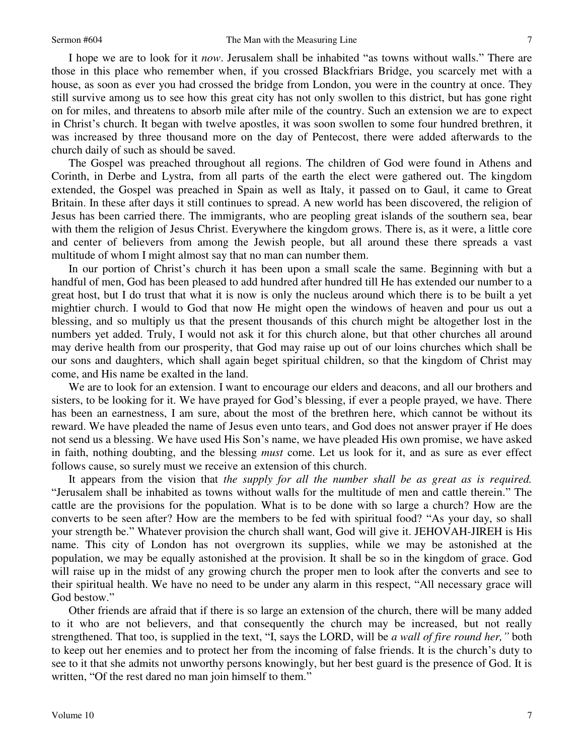I hope we are to look for it *now*. Jerusalem shall be inhabited "as towns without walls." There are those in this place who remember when, if you crossed Blackfriars Bridge, you scarcely met with a house, as soon as ever you had crossed the bridge from London, you were in the country at once. They still survive among us to see how this great city has not only swollen to this district, but has gone right on for miles, and threatens to absorb mile after mile of the country. Such an extension we are to expect in Christ's church. It began with twelve apostles, it was soon swollen to some four hundred brethren, it was increased by three thousand more on the day of Pentecost, there were added afterwards to the church daily of such as should be saved.

The Gospel was preached throughout all regions. The children of God were found in Athens and Corinth, in Derbe and Lystra, from all parts of the earth the elect were gathered out. The kingdom extended, the Gospel was preached in Spain as well as Italy, it passed on to Gaul, it came to Great Britain. In these after days it still continues to spread. A new world has been discovered, the religion of Jesus has been carried there. The immigrants, who are peopling great islands of the southern sea, bear with them the religion of Jesus Christ. Everywhere the kingdom grows. There is, as it were, a little core and center of believers from among the Jewish people, but all around these there spreads a vast multitude of whom I might almost say that no man can number them.

In our portion of Christ's church it has been upon a small scale the same. Beginning with but a handful of men, God has been pleased to add hundred after hundred till He has extended our number to a great host, but I do trust that what it is now is only the nucleus around which there is to be built a yet mightier church. I would to God that now He might open the windows of heaven and pour us out a blessing, and so multiply us that the present thousands of this church might be altogether lost in the numbers yet added. Truly, I would not ask it for this church alone, but that other churches all around may derive health from our prosperity, that God may raise up out of our loins churches which shall be our sons and daughters, which shall again beget spiritual children, so that the kingdom of Christ may come, and His name be exalted in the land.

We are to look for an extension. I want to encourage our elders and deacons, and all our brothers and sisters, to be looking for it. We have prayed for God's blessing, if ever a people prayed, we have. There has been an earnestness, I am sure, about the most of the brethren here, which cannot be without its reward. We have pleaded the name of Jesus even unto tears, and God does not answer prayer if He does not send us a blessing. We have used His Son's name, we have pleaded His own promise, we have asked in faith, nothing doubting, and the blessing *must* come. Let us look for it, and as sure as ever effect follows cause, so surely must we receive an extension of this church.

It appears from the vision that *the supply for all the number shall be as great as is required.* "Jerusalem shall be inhabited as towns without walls for the multitude of men and cattle therein." The cattle are the provisions for the population. What is to be done with so large a church? How are the converts to be seen after? How are the members to be fed with spiritual food? "As your day, so shall your strength be." Whatever provision the church shall want, God will give it. JEHOVAH-JIREH is His name. This city of London has not overgrown its supplies, while we may be astonished at the population, we may be equally astonished at the provision. It shall be so in the kingdom of grace. God will raise up in the midst of any growing church the proper men to look after the converts and see to their spiritual health. We have no need to be under any alarm in this respect, "All necessary grace will God bestow."

Other friends are afraid that if there is so large an extension of the church, there will be many added to it who are not believers, and that consequently the church may be increased, but not really strengthened. That too, is supplied in the text, "I, says the LORD, will be *a wall of fire round her,"* both to keep out her enemies and to protect her from the incoming of false friends. It is the church's duty to see to it that she admits not unworthy persons knowingly, but her best guard is the presence of God. It is written, "Of the rest dared no man join himself to them."

7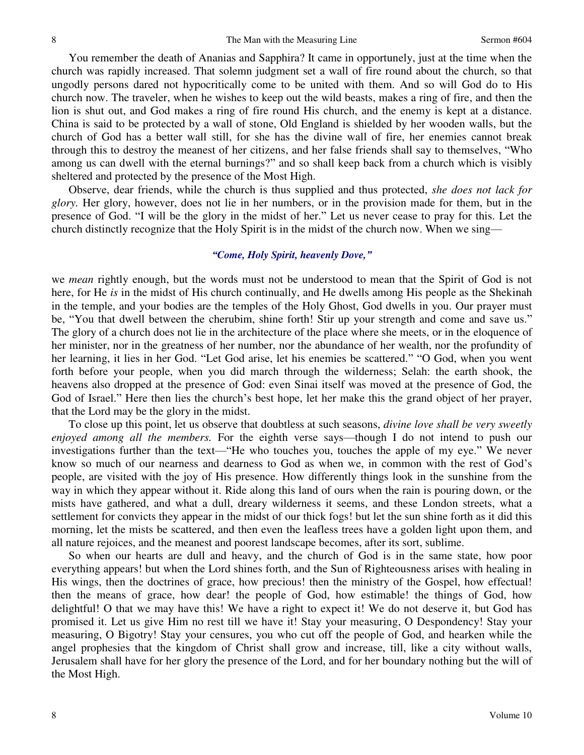You remember the death of Ananias and Sapphira? It came in opportunely, just at the time when the church was rapidly increased. That solemn judgment set a wall of fire round about the church, so that ungodly persons dared not hypocritically come to be united with them. And so will God do to His church now. The traveler, when he wishes to keep out the wild beasts, makes a ring of fire, and then the lion is shut out, and God makes a ring of fire round His church, and the enemy is kept at a distance. China is said to be protected by a wall of stone, Old England is shielded by her wooden walls, but the church of God has a better wall still, for she has the divine wall of fire, her enemies cannot break through this to destroy the meanest of her citizens, and her false friends shall say to themselves, "Who among us can dwell with the eternal burnings?" and so shall keep back from a church which is visibly sheltered and protected by the presence of the Most High.

Observe, dear friends, while the church is thus supplied and thus protected, *she does not lack for glory.* Her glory, however, does not lie in her numbers, or in the provision made for them, but in the presence of God. "I will be the glory in the midst of her." Let us never cease to pray for this. Let the church distinctly recognize that the Holy Spirit is in the midst of the church now. When we sing—

### *"Come, Holy Spirit, heavenly Dove,"*

we *mean* rightly enough, but the words must not be understood to mean that the Spirit of God is not here, for He *is* in the midst of His church continually, and He dwells among His people as the Shekinah in the temple, and your bodies are the temples of the Holy Ghost, God dwells in you. Our prayer must be, "You that dwell between the cherubim, shine forth! Stir up your strength and come and save us." The glory of a church does not lie in the architecture of the place where she meets, or in the eloquence of her minister, nor in the greatness of her number, nor the abundance of her wealth, nor the profundity of her learning, it lies in her God. "Let God arise, let his enemies be scattered." "O God, when you went forth before your people, when you did march through the wilderness; Selah: the earth shook, the heavens also dropped at the presence of God: even Sinai itself was moved at the presence of God, the God of Israel." Here then lies the church's best hope, let her make this the grand object of her prayer, that the Lord may be the glory in the midst.

To close up this point, let us observe that doubtless at such seasons, *divine love shall be very sweetly enjoyed among all the members.* For the eighth verse says—though I do not intend to push our investigations further than the text—"He who touches you, touches the apple of my eye." We never know so much of our nearness and dearness to God as when we, in common with the rest of God's people, are visited with the joy of His presence. How differently things look in the sunshine from the way in which they appear without it. Ride along this land of ours when the rain is pouring down, or the mists have gathered, and what a dull, dreary wilderness it seems, and these London streets, what a settlement for convicts they appear in the midst of our thick fogs! but let the sun shine forth as it did this morning, let the mists be scattered, and then even the leafless trees have a golden light upon them, and all nature rejoices, and the meanest and poorest landscape becomes, after its sort, sublime.

So when our hearts are dull and heavy, and the church of God is in the same state, how poor everything appears! but when the Lord shines forth, and the Sun of Righteousness arises with healing in His wings, then the doctrines of grace, how precious! then the ministry of the Gospel, how effectual! then the means of grace, how dear! the people of God, how estimable! the things of God, how delightful! O that we may have this! We have a right to expect it! We do not deserve it, but God has promised it. Let us give Him no rest till we have it! Stay your measuring, O Despondency! Stay your measuring, O Bigotry! Stay your censures, you who cut off the people of God, and hearken while the angel prophesies that the kingdom of Christ shall grow and increase, till, like a city without walls, Jerusalem shall have for her glory the presence of the Lord, and for her boundary nothing but the will of the Most High.